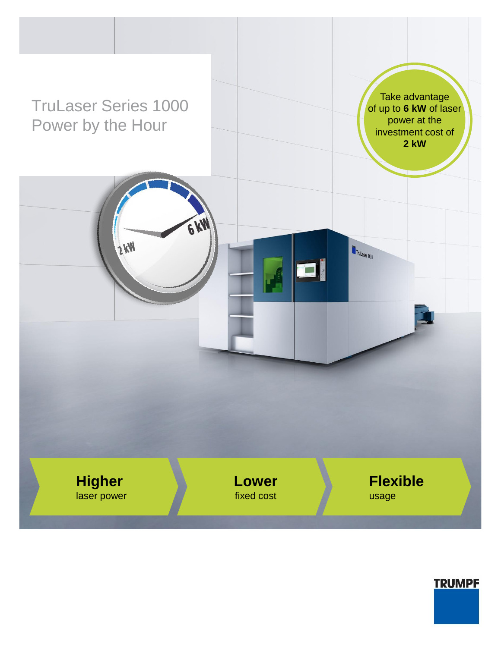